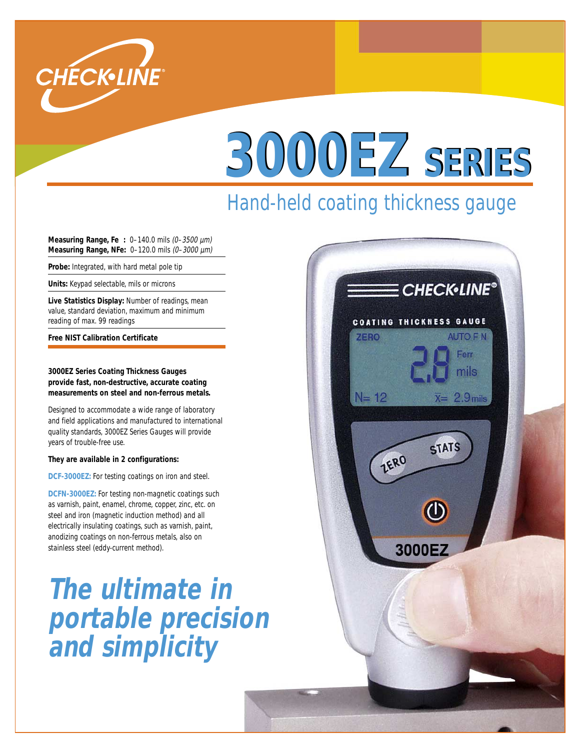

# **3000EZ SERIES**

## Hand-held coating thickness gauge

**Measuring Range, Fe :** 0–140.0 mils (0–3500 µm) **Measuring Range, NFe:** 0–120.0 mils (0–3000 µm)

**Probe:** Integrated, with hard metal pole tip

**Units:** Keypad selectable, mils or microns

**Live Statistics Display:** Number of readings, mean value, standard deviation, maximum and minimum reading of max. 99 readings

**Free NIST Calibration Certificate**

**3000EZ Series Coating Thickness Gauges provide fast, non-destructive, accurate coating measurements on steel and non-ferrous metals.**

Designed to accommodate a wide range of laboratory and field applications and manufactured to international quality standards, 3000EZ Series Gauges will provide years of trouble-free use.

### **They are available in 2 configurations:**

**DCF-3000EZ:** For testing coatings on iron and steel.

**DCFN-3000EZ:** For testing non-magnetic coatings such as varnish, paint, enamel, chrome, copper, zinc, etc. on steel and iron (magnetic induction method) and all electrically insulating coatings, such as varnish, paint, anodizing coatings on non-ferrous metals, also on stainless steel (eddy-current method).

**The ultimate in portable precision and simplicity**